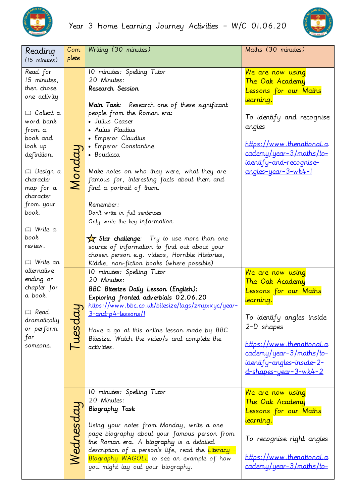



| Reading<br>$(15$ minutes)                                                                                                                                                                                                                                                                                                                                                                               | Com<br>plete | Writing (30 minutes)                                                                                                                                                                                                                                                                                                                                                                                                                                                                                                                                                                                                                                                       | Maths (30 minutes)                                                                                                                                                                                                                 |
|---------------------------------------------------------------------------------------------------------------------------------------------------------------------------------------------------------------------------------------------------------------------------------------------------------------------------------------------------------------------------------------------------------|--------------|----------------------------------------------------------------------------------------------------------------------------------------------------------------------------------------------------------------------------------------------------------------------------------------------------------------------------------------------------------------------------------------------------------------------------------------------------------------------------------------------------------------------------------------------------------------------------------------------------------------------------------------------------------------------------|------------------------------------------------------------------------------------------------------------------------------------------------------------------------------------------------------------------------------------|
| Read for<br>15 minutes,<br>then chose<br>one activity<br><b>Q</b> Collect a<br>word bank<br>from a<br>book and<br>look up<br>definition.<br>□ Design a<br>character<br>map for a<br>character<br>from your<br>book.<br><b>Q</b> Write a<br>book<br>review.<br><i>⊞</i> Write an<br>alternative<br>ending or<br>chapter for<br>a book.<br><b>Q</b> Read<br>dramatically<br>or perform<br>for<br>someone. | Mondai       | 10 minutes: Spelling Tutor<br>20 Minutes:<br>Research Session<br>Main Task: Research one of these significant<br>people from the Roman era:<br>· Julius Ceaser<br>• Aulus Plautius<br>· Emperor Claudius<br>• Emperor Constantine<br>· Boudicca<br>Make notes on who they were, what they are<br>famous for, interesting facts about them and<br>find a portrait of them.<br>Remember:<br>Don't write in full sentences<br>Only write the key information<br>$\frac{1}{\sqrt{2}}$ Star challenge: Try to use more than one<br>source of information to find out about your<br>chosen person e.g. videos, Horrible Histories,<br>Kiddle, non-fiction books (where possible) | We are now using<br>The Oak Academy<br>Lessons for our Maths<br>learning.<br>To identify and recognise<br>angles<br>https://www.thenational.a<br>cademy/year-3/maths/to-<br>identify-and-recognise-<br>angles-year-3-wk4-1         |
|                                                                                                                                                                                                                                                                                                                                                                                                         | Tuesda       | 10 minutes: Spelling Tutor<br>20 Minutes:<br><b>BBC Bitesize Daily Lesson (English):</b><br>Exploring fronted adverbials 02.06.20<br>https://www.bbc.co.uk/bitesize/tags/zmyxxyc/year-<br><u>3-and-p4-lessons/I</u><br>Have a go at this online lesson made by BBC<br>Bitesize. Watch the video/s and complete the<br>activities.                                                                                                                                                                                                                                                                                                                                          | We are now using<br>The Oak Academy<br>Lessons for our Maths<br>learning.<br>To identify angles inside<br>2-D shapes<br>https://www.thenational.a<br>cademy/year-3/maths/to-<br>identify-angles-inside-2-<br>d-shapes-year-3-wk4-2 |
|                                                                                                                                                                                                                                                                                                                                                                                                         | Wednesdau    | 10 minutes: Spelling Tutor<br>20 Minutes:<br><b>Biography Task</b><br>Using your notes from Monday, write a one<br>page biography about your famous person from<br>the Roman era. A biography is a detailed<br>description of a person's life, read the Literacy -<br>Biography WAGOLL to see an example of how<br>you might lay out your biography.                                                                                                                                                                                                                                                                                                                       | We are now using<br>The Oak Academy<br>Lessons for our Maths<br>learning.<br>To recognise right angles<br>https://www.thenational.a<br>$cademy/year-3/maths/to-$                                                                   |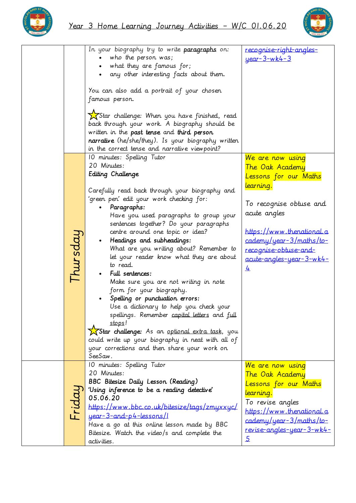



|          | In your biography try to write paragraphs on:<br>who the person was;<br>• what they are famous for;<br>any other interesting facts about them.                                                                                                                                                                                                                                                                                                                                                                                                                                                                                                                                                                                                                                                                              | recognise-right-angles-<br><u>year-3-wk4-3</u>                                                                                                                                                                                                       |
|----------|-----------------------------------------------------------------------------------------------------------------------------------------------------------------------------------------------------------------------------------------------------------------------------------------------------------------------------------------------------------------------------------------------------------------------------------------------------------------------------------------------------------------------------------------------------------------------------------------------------------------------------------------------------------------------------------------------------------------------------------------------------------------------------------------------------------------------------|------------------------------------------------------------------------------------------------------------------------------------------------------------------------------------------------------------------------------------------------------|
|          | You can also add a portrait of your chosen<br>famous person.                                                                                                                                                                                                                                                                                                                                                                                                                                                                                                                                                                                                                                                                                                                                                                |                                                                                                                                                                                                                                                      |
|          | XStar challenge: When you have finished, read<br>back through your work. A biography should be<br>written in the past tense and third person<br>narrative (he/she/they). Is your biography written<br>in the correct tense and narrative viewpoint?                                                                                                                                                                                                                                                                                                                                                                                                                                                                                                                                                                         |                                                                                                                                                                                                                                                      |
| Thursdai | 10 minutes: Spelling Tutor<br>20 Minutes:<br>Editing Challenge<br>Carefully read back through your biography and<br>'green pen' edit your work checking for:<br>Paragraphs:<br>Have you used paragraphs to group your<br>sentences together? Do your paragraphs<br>centre around one topic or idea?<br>Headings and subheadings:<br>What are you writing about? Remember to<br>let your reader know what they are about<br>to read.<br>Full sentences:<br>Make sure you are not writing in note<br>form for your biography.<br>Spelling or punctuation errors:<br>Use a dictionary to help you check your<br>spellings. Remember capital letters and full<br>stops!<br>XStar challenge: As an optional extra task, you<br>could write up your biography in neat with all of<br>your corrections and then share your work on | We are now using<br>The Oak Academy<br>Lessons for our Maths<br>learning.<br>To recognise obtuse and<br>acute angles<br><u>https://www.thenational.a</u><br>cademy/year-3/maths/to-<br><u>recognise-obtuse-and-</u><br>acute-angles-year-3-wk4-<br>₹ |
|          | SeeSaw.<br>10 minutes: Spelling Tutor                                                                                                                                                                                                                                                                                                                                                                                                                                                                                                                                                                                                                                                                                                                                                                                       | We are now using                                                                                                                                                                                                                                     |
| -ridai   | 20 Minutes:<br><b>BBC Bitesize Daily Lesson (Reading)</b><br>'Using inference to be a reading detective'<br>05.06.20<br>https://www.bbc.co.uk/bitesize/tags/zmyxxyc/<br>year - 3-and-p4-lessons/1<br>Have a go at this online lesson made by BBC<br>Bitesize. Watch the video/s and complete the<br>activities.                                                                                                                                                                                                                                                                                                                                                                                                                                                                                                             | The Oak Academy<br>Lessons for our Maths<br><u>learning.</u><br>To revise angles<br>https://www.thenational.a<br>cademy/year-3/maths/to-<br>revise-angles-year-3-wk4-<br>$\overline{5}$                                                              |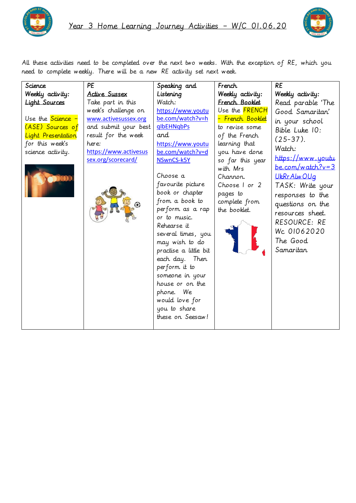



All these activities need to be completed over the next two weeks. With the exception of RE, which you need to complete weekly. There will be a new RE activity set next week.

| Science              | PE                    | Speaking and          | French           | <b>RE</b>          |
|----------------------|-----------------------|-----------------------|------------------|--------------------|
| Weekly activity:     | <b>Active Sussex</b>  | Listening             | Weekly activity: | Weekly activity:   |
| <b>Light Sources</b> | Take part in this     | Watch:                | French Booklet   | Read parable 'The  |
|                      | week's challenge on   | https://www.youtu     | Use the FRENCH   | Good Samaritan'    |
| Use the Science -    | www.activesussex.org  | be.com/watch?v=h      | - French Booklet | in your school     |
| (ASE) Sources of     | and submit your best  | <b>glbEHNgbPs</b>     | to revise some   | Bible Luke 10:     |
| Light Presentation   | result for the week   | and                   | of the French    | $(25-37)$ .        |
| for this week's      | here:                 | https://www.youtu     | learning that    | Watch:             |
| science activity.    | https://www.activesus | be.com/watch?v=d      | you have done    |                    |
|                      | sex.org/scorecard/    | NSwnCS-k5Y            | so far this year | https://www.youtu  |
|                      |                       |                       | with Mrs         | $be.com/watch?v=3$ |
|                      |                       | Choose a              | Channon.         | UkRr Alw OUg       |
|                      |                       | favourite picture     | Choose I or 2    | TASK: Write your   |
|                      |                       | book or chapter       | pages to         | responses to the   |
|                      |                       | from a book to        | complete from    | questions on the   |
|                      |                       | perform as a rap      | the booklet.     | resources sheet.   |
|                      |                       | or to music.          |                  | RESOURCE: RE       |
|                      |                       | Rehearse it           |                  | Wc 01062020        |
|                      |                       | several times, you    |                  |                    |
|                      |                       | may wish to do        |                  | The Good           |
|                      |                       | practise a little bit |                  | Samaritan          |
|                      |                       | each day. Then        |                  |                    |
|                      |                       | perform it to         |                  |                    |
|                      |                       | someone in your       |                  |                    |
|                      |                       | house or on the       |                  |                    |
|                      |                       | phone. We             |                  |                    |
|                      |                       | would love for        |                  |                    |
|                      |                       | you to share          |                  |                    |
|                      |                       | these on Seesaw!      |                  |                    |
|                      |                       |                       |                  |                    |